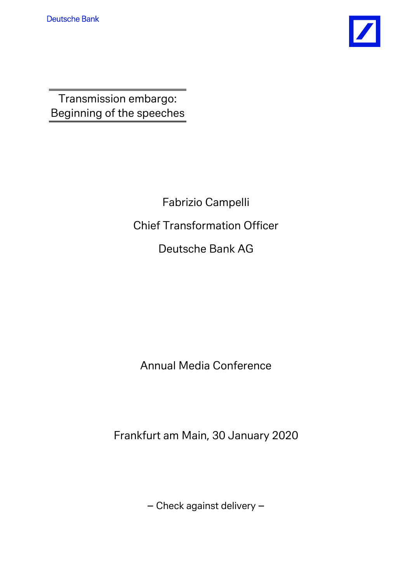

Transmission embargo: Beginning of the speeches

> Fabrizio Campelli Chief Transformation Officer Deutsche Bank AG

Annual Media Conference

Frankfurt am Main, 30 January 2020

– Check against delivery –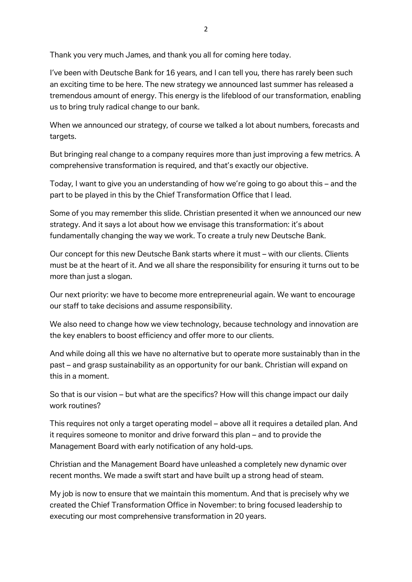Thank you very much James, and thank you all for coming here today.

I've been with Deutsche Bank for 16 years, and I can tell you, there has rarely been such an exciting time to be here. The new strategy we announced last summer has released a tremendous amount of energy. This energy is the lifeblood of our transformation, enabling us to bring truly radical change to our bank.

When we announced our strategy, of course we talked a lot about numbers, forecasts and targets.

But bringing real change to a company requires more than just improving a few metrics. A comprehensive transformation is required, and that's exactly our objective.

Today, I want to give you an understanding of how we're going to go about this – and the part to be played in this by the Chief Transformation Office that I lead.

Some of you may remember this slide. Christian presented it when we announced our new strategy. And it says a lot about how we envisage this transformation: it's about fundamentally changing the way we work. To create a truly new Deutsche Bank.

Our concept for this new Deutsche Bank starts where it must – with our clients. Clients must be at the heart of it. And we all share the responsibility for ensuring it turns out to be more than just a slogan.

Our next priority: we have to become more entrepreneurial again. We want to encourage our staff to take decisions and assume responsibility.

We also need to change how we view technology, because technology and innovation are the key enablers to boost efficiency and offer more to our clients.

And while doing all this we have no alternative but to operate more sustainably than in the past – and grasp sustainability as an opportunity for our bank. Christian will expand on this in a moment.

So that is our vision – but what are the specifics? How will this change impact our daily work routines?

This requires not only a target operating model – above all it requires a detailed plan. And it requires someone to monitor and drive forward this plan – and to provide the Management Board with early notification of any hold-ups.

Christian and the Management Board have unleashed a completely new dynamic over recent months. We made a swift start and have built up a strong head of steam.

My job is now to ensure that we maintain this momentum. And that is precisely why we created the Chief Transformation Office in November: to bring focused leadership to executing our most comprehensive transformation in 20 years.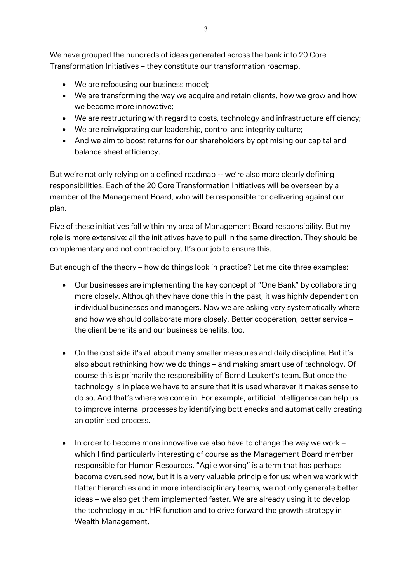We have grouped the hundreds of ideas generated across the bank into 20 Core Transformation Initiatives – they constitute our transformation roadmap.

- We are refocusing our business model;
- We are transforming the way we acquire and retain clients, how we grow and how we become more innovative;
- We are restructuring with regard to costs, technology and infrastructure efficiency;
- We are reinvigorating our leadership, control and integrity culture;
- And we aim to boost returns for our shareholders by optimising our capital and balance sheet efficiency.

But we're not only relying on a defined roadmap -- we're also more clearly defining responsibilities. Each of the 20 Core Transformation Initiatives will be overseen by a member of the Management Board, who will be responsible for delivering against our plan.

Five of these initiatives fall within my area of Management Board responsibility. But my role is more extensive: all the initiatives have to pull in the same direction. They should be complementary and not contradictory. It's our job to ensure this.

But enough of the theory – how do things look in practice? Let me cite three examples:

- Our businesses are implementing the key concept of "One Bank" by collaborating more closely. Although they have done this in the past, it was highly dependent on individual businesses and managers. Now we are asking very systematically where and how we should collaborate more closely. Better cooperation, better service – the client benefits and our business benefits, too.
- On the cost side it's all about many smaller measures and daily discipline. But it's also about rethinking how we do things – and making smart use of technology. Of course this is primarily the responsibility of Bernd Leukert's team. But once the technology is in place we have to ensure that it is used wherever it makes sense to do so. And that's where we come in. For example, artificial intelligence can help us to improve internal processes by identifying bottlenecks and automatically creating an optimised process.
- In order to become more innovative we also have to change the way we work which I find particularly interesting of course as the Management Board member responsible for Human Resources. "Agile working" is a term that has perhaps become overused now, but it is a very valuable principle for us: when we work with flatter hierarchies and in more interdisciplinary teams, we not only generate better ideas – we also get them implemented faster. We are already using it to develop the technology in our HR function and to drive forward the growth strategy in Wealth Management.